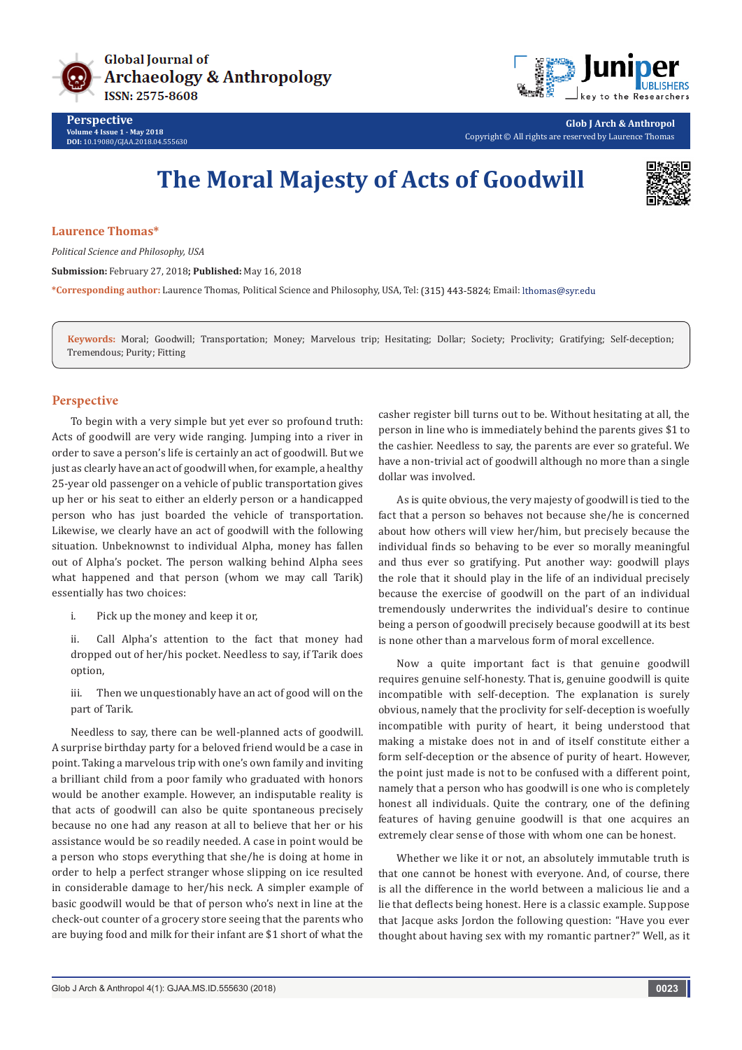



**Glob J Arch & Anthropol** Copyright © All rights are reserved by Laurence Thomas

## **The Moral Majesty of Acts of Goodwill**



## **Laurence Thomas\***

*Political Science and Philosophy, USA*

**Submission:** February 27, 2018**; Published:** May 16, 2018

\*Corresponding author: Laurence Thomas, Political Science and Philosophy, USA, Tel: (315) 443-5824; Email: lthomas@syr.edu

**Keywords:** Moral; Goodwill; Transportation; Money; Marvelous trip; Hesitating; Dollar; Society; Proclivity; Gratifying; Self-deception; Tremendous; Purity; Fitting

## **Perspective**

To begin with a very simple but yet ever so profound truth: Acts of goodwill are very wide ranging. Jumping into a river in order to save a person's life is certainly an act of goodwill. But we just as clearly have an act of goodwill when, for example, a healthy 25-year old passenger on a vehicle of public transportation gives up her or his seat to either an elderly person or a handicapped person who has just boarded the vehicle of transportation. Likewise, we clearly have an act of goodwill with the following situation. Unbeknownst to individual Alpha, money has fallen out of Alpha's pocket. The person walking behind Alpha sees what happened and that person (whom we may call Tarik) essentially has two choices:

i. Pick up the money and keep it or,

ii. Call Alpha's attention to the fact that money had dropped out of her/his pocket. Needless to say, if Tarik does option,

iii. Then we unquestionably have an act of good will on the part of Tarik.

Needless to say, there can be well-planned acts of goodwill. A surprise birthday party for a beloved friend would be a case in point. Taking a marvelous trip with one's own family and inviting a brilliant child from a poor family who graduated with honors would be another example. However, an indisputable reality is that acts of goodwill can also be quite spontaneous precisely because no one had any reason at all to believe that her or his assistance would be so readily needed. A case in point would be a person who stops everything that she/he is doing at home in order to help a perfect stranger whose slipping on ice resulted in considerable damage to her/his neck. A simpler example of basic goodwill would be that of person who's next in line at the check-out counter of a grocery store seeing that the parents who are buying food and milk for their infant are \$1 short of what the

casher register bill turns out to be. Without hesitating at all, the person in line who is immediately behind the parents gives \$1 to the cashier. Needless to say, the parents are ever so grateful. We have a non-trivial act of goodwill although no more than a single dollar was involved.

As is quite obvious, the very majesty of goodwill is tied to the fact that a person so behaves not because she/he is concerned about how others will view her/him, but precisely because the individual finds so behaving to be ever so morally meaningful and thus ever so gratifying. Put another way: goodwill plays the role that it should play in the life of an individual precisely because the exercise of goodwill on the part of an individual tremendously underwrites the individual's desire to continue being a person of goodwill precisely because goodwill at its best is none other than a marvelous form of moral excellence.

Now a quite important fact is that genuine goodwill requires genuine self-honesty. That is, genuine goodwill is quite incompatible with self-deception. The explanation is surely obvious, namely that the proclivity for self-deception is woefully incompatible with purity of heart, it being understood that making a mistake does not in and of itself constitute either a form self-deception or the absence of purity of heart. However, the point just made is not to be confused with a different point, namely that a person who has goodwill is one who is completely honest all individuals. Quite the contrary, one of the defining features of having genuine goodwill is that one acquires an extremely clear sense of those with whom one can be honest.

Whether we like it or not, an absolutely immutable truth is that one cannot be honest with everyone. And, of course, there is all the difference in the world between a malicious lie and a lie that deflects being honest. Here is a classic example. Suppose that Jacque asks Jordon the following question: "Have you ever thought about having sex with my romantic partner?" Well, as it